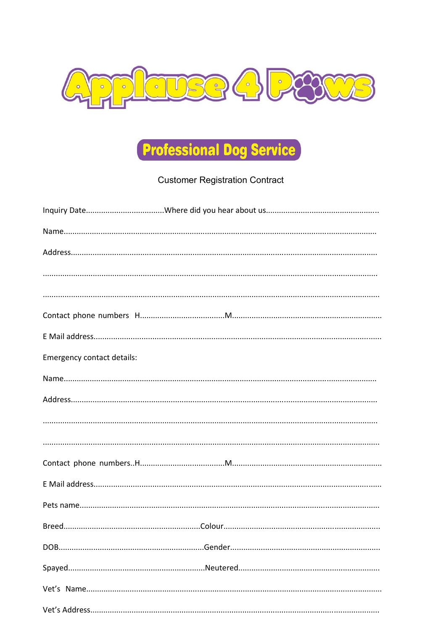

## **Professional Dog Service**

## **Customer Registration Contract**

| Emergency contact details: |  |
|----------------------------|--|
|                            |  |
|                            |  |
|                            |  |
|                            |  |
|                            |  |
|                            |  |
|                            |  |
|                            |  |
|                            |  |
|                            |  |
|                            |  |
|                            |  |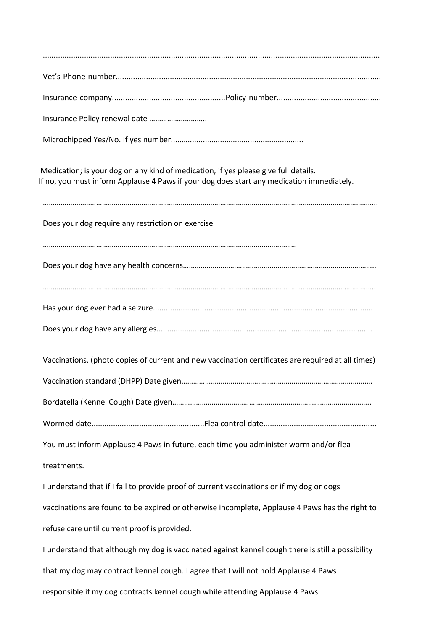| Insurance Policy renewal date                                                                                                                                                    |
|----------------------------------------------------------------------------------------------------------------------------------------------------------------------------------|
|                                                                                                                                                                                  |
| Medication; is your dog on any kind of medication, if yes please give full details.<br>If no, you must inform Applause 4 Paws if your dog does start any medication immediately. |
| Does your dog require any restriction on exercise                                                                                                                                |
|                                                                                                                                                                                  |
|                                                                                                                                                                                  |
|                                                                                                                                                                                  |
|                                                                                                                                                                                  |
| Vaccinations. (photo copies of current and new vaccination certificates are required at all times)                                                                               |
|                                                                                                                                                                                  |
|                                                                                                                                                                                  |
|                                                                                                                                                                                  |
| You must inform Applause 4 Paws in future, each time you administer worm and/or flea                                                                                             |
| treatments.                                                                                                                                                                      |
| I understand that if I fail to provide proof of current vaccinations or if my dog or dogs                                                                                        |
| vaccinations are found to be expired or otherwise incomplete, Applause 4 Paws has the right to                                                                                   |
| refuse care until current proof is provided.                                                                                                                                     |
| I understand that although my dog is vaccinated against kennel cough there is still a possibility                                                                                |
| that my dog may contract kennel cough. I agree that I will not hold Applause 4 Paws                                                                                              |
| responsible if my dog contracts kennel cough while attending Applause 4 Paws.                                                                                                    |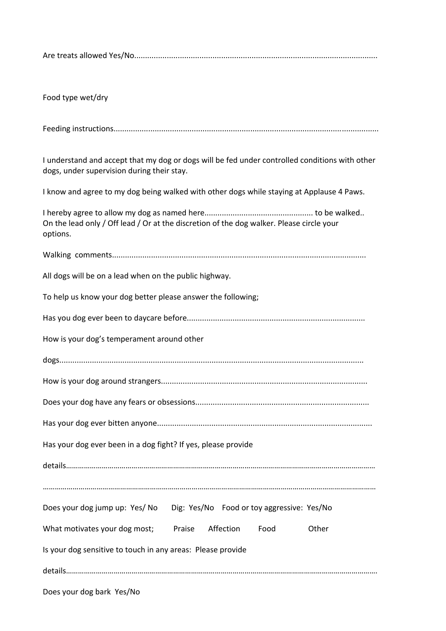| Food type wet/dry                                                                                                                            |  |
|----------------------------------------------------------------------------------------------------------------------------------------------|--|
|                                                                                                                                              |  |
| I understand and accept that my dog or dogs will be fed under controlled conditions with other<br>dogs, under supervision during their stay. |  |
| I know and agree to my dog being walked with other dogs while staying at Applause 4 Paws.                                                    |  |
| On the lead only / Off lead / Or at the discretion of the dog walker. Please circle your<br>options.                                         |  |
|                                                                                                                                              |  |
| All dogs will be on a lead when on the public highway.                                                                                       |  |
| To help us know your dog better please answer the following;                                                                                 |  |
|                                                                                                                                              |  |
| How is your dog's temperament around other                                                                                                   |  |
|                                                                                                                                              |  |
|                                                                                                                                              |  |
|                                                                                                                                              |  |
|                                                                                                                                              |  |
| Has your dog ever been in a dog fight? If yes, please provide                                                                                |  |
|                                                                                                                                              |  |
| Does your dog jump up: Yes/ No   Dig: Yes/No   Food or toy aggressive: Yes/No                                                                |  |
| What motivates your dog most; Praise Affection<br>Food<br>Other                                                                              |  |
| Is your dog sensitive to touch in any areas: Please provide                                                                                  |  |
|                                                                                                                                              |  |

Does your dog bark Yes/No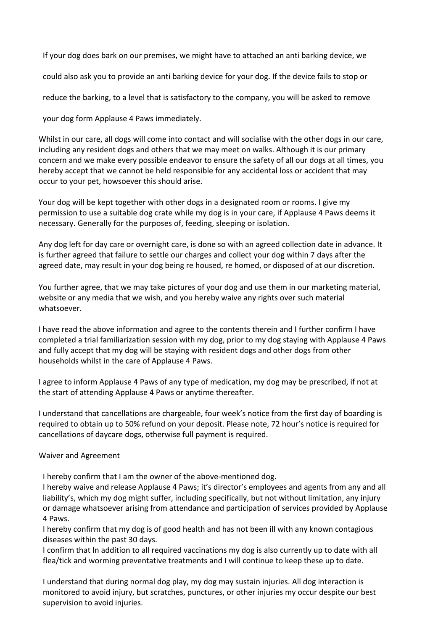If your dog does bark on our premises, we might have to attached an anti barking device, we

could also ask you to provide an anti barking device for your dog. If the device fails to stop or

reduce the barking, to a level that is satisfactory to the company, you will be asked to remove

your dog form Applause 4 Paws immediately.

Whilst in our care, all dogs will come into contact and will socialise with the other dogs in our care, including any resident dogs and others that we may meet on walks. Although it is our primary concern and we make every possible endeavor to ensure the safety of all our dogs at all times, you hereby accept that we cannot be held responsible for any accidental loss or accident that may occur to your pet, howsoever this should arise.

Your dog will be kept together with other dogs in a designated room or rooms. I give my permission to use a suitable dog crate while my dog is in your care, if Applause 4 Paws deems it necessary. Generally for the purposes of, feeding, sleeping or isolation.

Any dog left for day care or overnight care, is done so with an agreed collection date in advance. It is further agreed that failure to settle our charges and collect your dog within 7 days after the agreed date, may result in your dog being re housed, re homed, or disposed of at our discretion.

You further agree, that we may take pictures of your dog and use them in our marketing material, website or any media that we wish, and you hereby waive any rights over such material whatsoever.

I have read the above information and agree to the contents therein and I further confirm I have completed a trial familiarization session with my dog, prior to my dog staying with Applause 4 Paws and fully accept that my dog will be staying with resident dogs and other dogs from other households whilst in the care of Applause 4 Paws.

I agree to inform Applause 4 Paws of any type of medication, my dog may be prescribed, if not at the start of attending Applause 4 Paws or anytime thereafter.

I understand that cancellations are chargeable, four week's notice from the first day of boarding is required to obtain up to 50% refund on your deposit. Please note, 72 hour's notice is required for cancellations of daycare dogs, otherwise full payment is required.

## Waiver and Agreement

I hereby confirm that I am the owner of the above-mentioned dog.

I hereby waive and release Applause 4 Paws; it's director's employees and agents from any and all liability's, which my dog might suffer, including specifically, but not without limitation, any injury or damage whatsoever arising from attendance and participation of services provided by Applause 4 Paws.

I hereby confirm that my dog is of good health and has not been ill with any known contagious diseases within the past 30 days.

I confirm that In addition to all required vaccinations my dog is also currently up to date with all flea/tick and worming preventative treatments and I will continue to keep these up to date.

I understand that during normal dog play, my dog may sustain injuries. All dog interaction is monitored to avoid injury, but scratches, punctures, or other injuries my occur despite our best supervision to avoid injuries.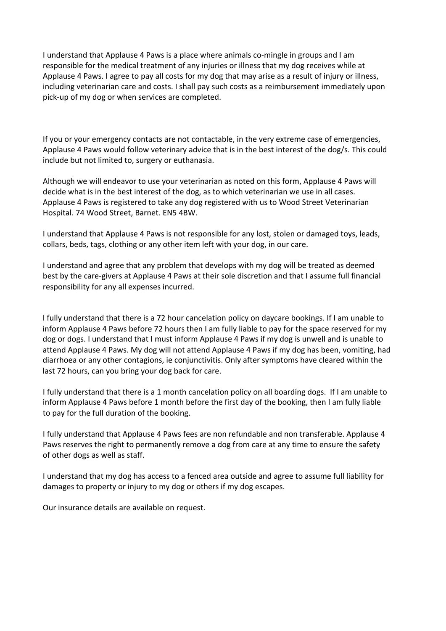I understand that Applause 4 Paws is a place where animals co-mingle in groups and I am responsible for the medical treatment of any injuries or illness that my dog receives while at Applause 4 Paws. I agree to pay all costs for my dog that may arise as a result of injury or illness, including veterinarian care and costs. I shall pay such costs as a reimbursement immediately upon pick-up of my dog or when services are completed.

If you or your emergency contacts are not contactable, in the very extreme case of emergencies, Applause 4 Paws would follow veterinary advice that is in the best interest of the dog/s. This could include but not limited to, surgery or euthanasia.

Although we will endeavor to use your veterinarian as noted on this form, Applause 4 Paws will decide what is in the best interest of the dog, as to which veterinarian we use in all cases. Applause 4 Paws is registered to take any dog registered with us to Wood Street Veterinarian Hospital. 74 Wood Street, Barnet. EN5 4BW.

I understand that Applause 4 Paws is not responsible for any lost, stolen or damaged toys, leads, collars, beds, tags, clothing or any other item left with your dog, in our care.

I understand and agree that any problem that develops with my dog will be treated as deemed best by the care-givers at Applause 4 Paws at their sole discretion and that I assume full financial responsibility for any all expenses incurred.

I fully understand that there is a 72 hour cancelation policy on daycare bookings. If I am unable to inform Applause 4 Paws before 72 hours then I am fully liable to pay for the space reserved for my dog or dogs. I understand that I must inform Applause 4 Paws if my dog is unwell and is unable to attend Applause 4 Paws. My dog will not attend Applause 4 Paws if my dog has been, vomiting, had diarrhoea or any other contagions, ie conjunctivitis. Only after symptoms have cleared within the last 72 hours, can you bring your dog back for care.

I fully understand that there is a 1 month cancelation policy on all boarding dogs. If I am unable to inform Applause 4 Paws before 1 month before the first day of the booking, then I am fully liable to pay for the full duration of the booking.

I fully understand that Applause 4 Paws fees are non refundable and non transferable. Applause 4 Paws reserves the right to permanently remove a dog from care at any time to ensure the safety of other dogs as well as staff.

I understand that my dog has access to a fenced area outside and agree to assume full liability for damages to property or injury to my dog or others if my dog escapes.

Our insurance details are available on request.